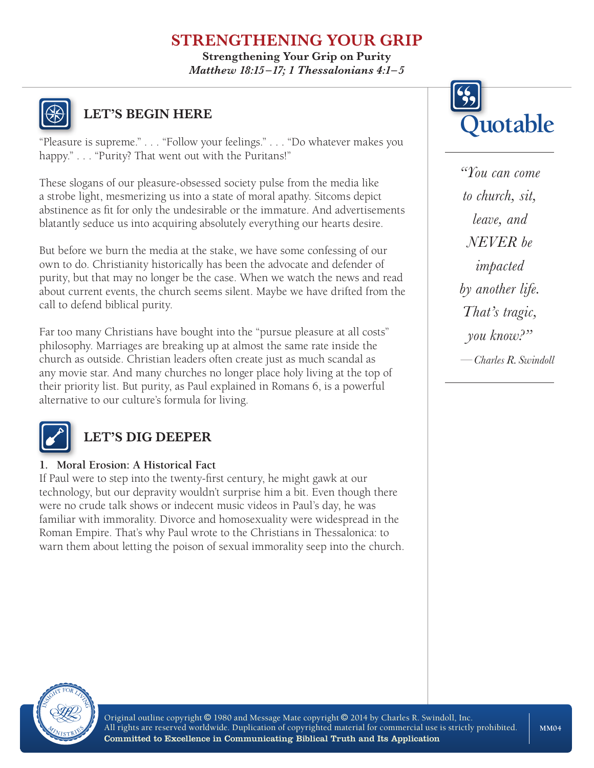## **STRENGTHENING YOUR GRIP**

**Strengthening Your Grip on Purity** *Matthew 18:15 –17; 1 Thessalonians 4:1– 5*



# **LET'S BEGIN HERE**

"Pleasure is supreme." . . . "Follow your feelings." . . . "Do whatever makes you happy." . . . "Purity? That went out with the Puritans!"

These slogans of our pleasure-obsessed society pulse from the media like a strobe light, mesmerizing us into a state of moral apathy. Sitcoms depict abstinence as fit for only the undesirable or the immature. And advertisements blatantly seduce us into acquiring absolutely everything our hearts desire.

But before we burn the media at the stake, we have some confessing of our own to do. Christianity historically has been the advocate and defender of purity, but that may no longer be the case. When we watch the news and read about current events, the church seems silent. Maybe we have drifted from the call to defend biblical purity.

Far too many Christians have bought into the "pursue pleasure at all costs" philosophy. Marriages are breaking up at almost the same rate inside the church as outside. Christian leaders often create just as much scandal as any movie star. And many churches no longer place holy living at the top of their priority list. But purity, as Paul explained in Romans 6, is a powerful alternative to our culture's formula for living.



## **LET'S DIG DEEPER**

#### **1. Moral Erosion: A Historical Fact**

If Paul were to step into the twenty-first century, he might gawk at our technology, but our depravity wouldn't surprise him a bit. Even though there were no crude talk shows or indecent music videos in Paul's day, he was familiar with immorality. Divorce and homosexuality were widespread in the Roman Empire. That's why Paul wrote to the Christians in Thessalonica: to warn them about letting the poison of sexual immorality seep into the church.



*"You can come to church, sit, leave, and NEVER be impacted by another life. That's tragic, you know?" —Charles R. Swindoll*



Original outline copyright © 1980 and Message Mate copyright © 2014 by Charles R. Swindoll, Inc. All rights are reserved worldwide. Duplication of copyrighted material for commercial use is strictly prohibited. Committed to Excellence in Communicating Biblical Truth and Its Application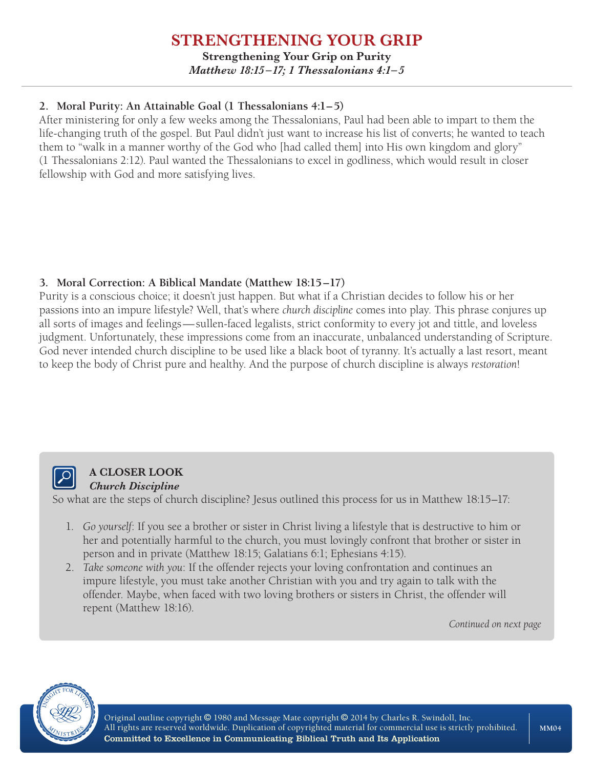#### **STRENGTHENING YOUR GRIP Strengthening Your Grip on Purity** *Matthew 18:15 –17; 1 Thessalonians 4:1– 5*

#### **2. Moral Purity: An Attainable Goal (1 Thessalonians 4:1–5)**

After ministering for only a few weeks among the Thessalonians, Paul had been able to impart to them the life-changing truth of the gospel. But Paul didn't just want to increase his list of converts; he wanted to teach them to "walk in a manner worthy of the God who [had called them] into His own kingdom and glory" (1 Thessalonians 2:12). Paul wanted the Thessalonians to excel in godliness, which would result in closer fellowship with God and more satisfying lives.

#### **3. Moral Correction: A Biblical Mandate (Matthew 18:15–17)**

Purity is a conscious choice; it doesn't just happen. But what if a Christian decides to follow his or her passions into an impure lifestyle? Well, that's where *church discipline* comes into play. This phrase conjures up all sorts of images and feelings—sullen-faced legalists, strict conformity to every jot and tittle, and loveless judgment. Unfortunately, these impressions come from an inaccurate, unbalanced understanding of Scripture. God never intended church discipline to be used like a black boot of tyranny. It's actually a last resort, meant to keep the body of Christ pure and healthy. And the purpose of church discipline is always *restoration*!



#### **A CLOSER LOOK** *Church Discipline*

So what are the steps of church discipline? Jesus outlined this process for us in Matthew 18:15–17:

- 1. *Go yourself*: If you see a brother or sister in Christ living a lifestyle that is destructive to him or her and potentially harmful to the church, you must lovingly confront that brother or sister in person and in private (Matthew 18:15; Galatians 6:1; Ephesians 4:15).
- 2. *Take someone with you*: If the offender rejects your loving confrontation and continues an impure lifestyle, you must take another Christian with you and try again to talk with the offender. Maybe, when faced with two loving brothers or sisters in Christ, the offender will repent (Matthew 18:16).

*Continued on next page*



Original outline copyright © 1980 and Message Mate copyright © 2014 by Charles R. Swindoll, Inc. All rights are reserved worldwide. Duplication of copyrighted material for commercial use is strictly prohibited. Committed to Excellence in Communicating Biblical Truth and Its Application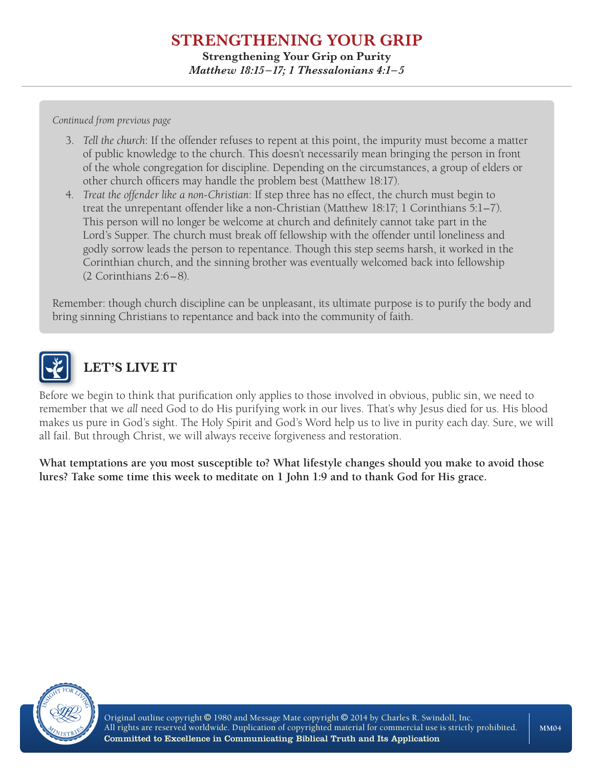### **STRENGTHENING YOUR GRIP Strengthening Your Grip on Purity** *Matthew 18:15 –17; 1 Thessalonians 4:1– 5*

*Continued from previous page*

- 3. *Tell the church*: If the offender refuses to repent at this point, the impurity must become a matter of public knowledge to the church. This doesn't necessarily mean bringing the person in front of the whole congregation for discipline. Depending on the circumstances, a group of elders or other church officers may handle the problem best (Matthew 18:17).
- 4. *Treat the offender like a non-Christian*: If step three has no effect, the church must begin to treat the unrepentant offender like a non-Christian (Matthew 18:17; 1 Corinthians 5:1–7). This person will no longer be welcome at church and definitely cannot take part in the Lord's Supper. The church must break off fellowship with the offender until loneliness and godly sorrow leads the person to repentance. Though this step seems harsh, it worked in the Corinthian church, and the sinning brother was eventually welcomed back into fellowship (2 Corinthians 2:6–8).

Remember: though church discipline can be unpleasant, its ultimate purpose is to purify the body and bring sinning Christians to repentance and back into the community of faith.



# **LET'S LIVE IT**

Before we begin to think that purification only applies to those involved in obvious, public sin, we need to remember that we *all* need God to do His purifying work in our lives. That's why Jesus died for us. His blood makes us pure in God's sight. The Holy Spirit and God's Word help us to live in purity each day. Sure, we will all fail. But through Christ, we will always receive forgiveness and restoration.

**What temptations are you most susceptible to? What lifestyle changes should you make to avoid those lures? Take some time this week to meditate on 1 John 1:9 and to thank God for His grace.**